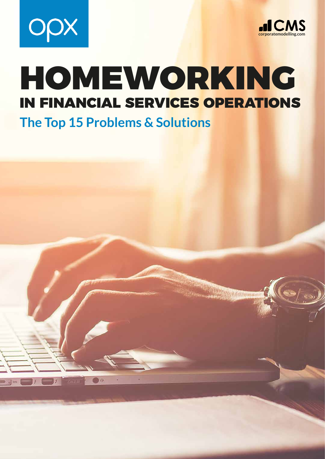



# HOMEWORKING IN FINANCIAL SERVICES OPERATIONS

**The Top 15 Problems & Solutions**

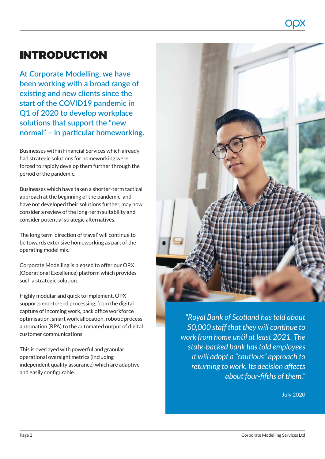# INTRODUCTION

**At Corporate Modelling, we have been working with a broad range of existing and new clients since the start of the COVID19 pandemic in Q1 of 2020 to develop workplace solutions that support the "new normal" – in particular homeworking.** 

Businesses within Financial Services which already had strategic solutions for homeworking were forced to rapidly develop them further through the period of the pandemic.

Businesses which have taken a shorter-term tactical approach at the beginning of the pandemic, and have not developed their solutions further, may now consider a review of the long-term suitability and consider potential strategic alternatives.

The long term 'direction of travel' will continue to be towards extensive homeworking as part of the operating model mix.

Corporate Modelling is pleased to offer our OPX (Operational Excellence) platform which provides such a strategic solution.

Highly modular and quick to implement, OPX supports end-to-end processing, from the digital capture of incoming work, back office workforce optimisation, smart work allocation, robotic process automation (RPA) to the automated output of digital customer communications.

This is overlayed with powerful and granular operational oversight metrics (including independent quality assurance) which are adaptive and easily configurable.



*state-backed bank has told employees it will adopt a "cautious" approach to returning to work. Its decision affects about four-fifths of them."*

July 2020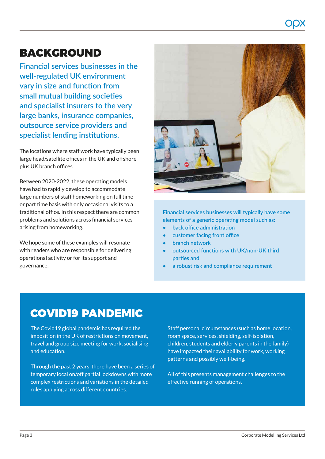# BACKGROUND

**Financial services businesses in the well-regulated UK environment vary in size and function from small mutual building societies and specialist insurers to the very large banks, insurance companies, outsource service providers and specialist lending institutions.** 

The locations where staff work have typically been large head/satellite offices in the UK and offshore plus UK branch offices.

Between 2020-2022, these operating models have had to rapidly develop to accommodate large numbers of staff homeworking on full time or part time basis with only occasional visits to a traditional office. In this respect there are common problems and solutions across financial services arising from homeworking.

We hope some of these examples will resonate with readers who are responsible for delivering operational activity or for its support and governance.



**Financial services businesses will typically have some elements of a generic operating model such as:** 

- **• back office administration**
- **• customer facing front office**
- **• branch network**
- **• outsourced functions with UK/non-UK third parties and**
- **• a robust risk and compliance requirement**

## COVID19 PANDEMIC

The Covid19 global pandemic has required the imposition in the UK of restrictions on movement, travel and group size meeting for work, socialising and education.

Through the past 2 years, there have been a series of temporary local on/off partial lockdowns with more complex restrictions and variations in the detailed rules applying across different countries.

Staff personal circumstances (such as home location, room space, services, shielding, self-isolation, children, students and elderly parents in the family) have impacted their availability for work, working patterns and possibly well-being.

All of this presents management challenges to the effective running of operations.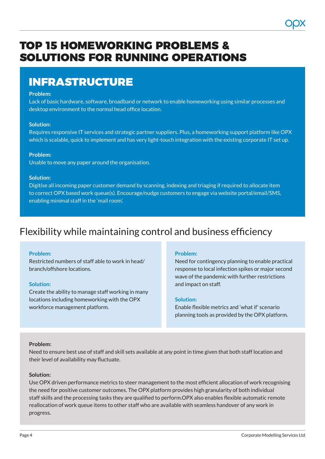# TOP 15 HOMEWORKING PROBLEMS & SOLUTIONS FOR RUNNING OPERATIONS

# INFRASTRUCTURE

#### **Problem:**

Lack of basic hardware, software, broadband or network to enable homeworking using similar processes and desktop environment to the normal head office location.

#### **Solution:**

Requires responsive IT services and strategic partner suppliers. Plus, a homeworking support platform like OPX which is scalable, quick to implement and has very light-touch integration with the existing corporate IT set up.

#### **Problem:**

Unable to move any paper around the organisation.

#### **Solution:**

Digitise all incoming paper customer demand by scanning, indexing and triaging if required to allocate item to correct OPX based work queue(s). Encourage/nudge customers to engage via website portal/email/SMS, enabling minimal staff in the 'mail room'.

### Flexibility while maintaining control and business efficiency

#### **Problem:**

Restricted numbers of staff able to work in head/ branch/offshore locations.

#### **Solution:**

Create the ability to manage staff working in many locations including homeworking with the OPX workforce management platform.

#### **Problem:**

Need for contingency planning to enable practical response to local infection spikes or major second wave of the pandemic with further restrictions and impact on staff.

#### **Solution:**

Enable flexible metrics and 'what if' scenario planning tools as provided by the OPX platform.

#### **Problem:**

Need to ensure best use of staff and skill sets available at any point in time given that both staff location and their level of availability may fluctuate.

#### **Solution:**

Use OPX driven performance metrics to steer management to the most efficient allocation of work recognising the need for positive customer outcomes. The OPX platform provides high granularity of both individual staff skills and the processing tasks they are qualified to perform.OPX also enables flexible automatic remote reallocation of work queue items to other staff who are available with seamless handover of any work in progress.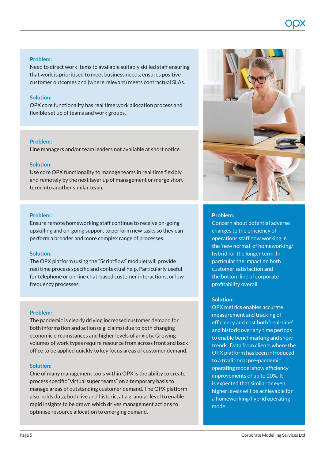#### **Problem:**

Need to direct work items to available suitably skilled staff ensuring that work is prioritised to meet business needs, ensures positive customer outcomes and (where relevant) meets contractual SLAs.

#### **Solution:**

OPX core functionality has real time work allocation process and flexible set up of teams and work groups.

#### **Problem:**

Line managers and/or team leaders not available at short notice.

#### **Solution:**

Use core OPX functionality to manage teams in real time flexibly and remotely by the next layer up of management or merge short term into another similar team.

#### **Problem:**

Ensure remote homeworking staff continue to receive on-going upskilling and on-going support to perform new tasks so they can perform a broader and more complex range of processes.

#### **Solution:**

The OPX platform (using the "Scriptflow" module) will provide real time process specific and contextual help. Particularly useful for telephone or on-line chat-based customer interactions, or low frequency processes.

#### **Problem:**

The pandemic is clearly driving increased customer demand for both information and action (e.g. claims) due to both changing economic circumstances and higher levels of anxiety. Growing volumes of work types require resource from across front and back office to be applied quickly to key focus areas of customer demand.

#### **Solution:**

One of many management tools within OPX is the ability to create process specific "virtual super teams" on a temporary basis to manage areas of outstanding customer demand. The OPX platform also holds data, both live and historic, at a granular level to enable rapid insights to be drawn which drives management actions to optimise resource allocation to emerging demand.



#### **Problem:**

Concern about potential adverse changes to the efficiency of operations staff now working in the 'new normal' of homeworking/ hybrid for the longer term. In particular the impact on both customer satisfaction and the bottom line of corporate profitability overall.

#### **Solution:**

OPX metrics enables accurate measurement and tracking of efficiency and cost both 'real-time' and historic over any time periods to enable benchmarking and show trends. Data from clients where the OPX platform has been introduced to a traditional pre-pandemic operating model show efficiency improvements of up to 20%. It is expected that similar or even higher levels will be achievable for a homeworking/hybrid operating model.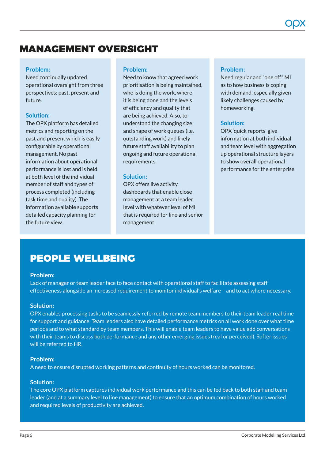### MANAGEMENT OVERSIGHT

#### **Problem:**

Need continually updated operational oversight from three perspectives: past, present and future.

#### **Solution:**

The OPX platform has detailed metrics and reporting on the past and present which is easily configurable by operational management. No past information about operational performance is lost and is held at both level of the individual member of staff and types of process completed (including task time and quality). The information available supports detailed capacity planning for the future view.

#### **Problem:**

Need to know that agreed work prioritisation is being maintained, who is doing the work, where it is being done and the levels of efficiency and quality that are being achieved. Also, to understand the changing size and shape of work queues (i.e. outstanding work) and likely future staff availability to plan ongoing and future operational requirements.

#### **Solution:**

OPX offers live activity dashboards that enable close management at a team leader level with whatever level of MI that is required for line and senior management.

#### **Problem:**

Need regular and "one off" MI as to how business is coping with demand, especially given likely challenges caused by homeworking.

#### **Solution:**

OPX 'quick reports' give information at both individual and team level with aggregation up operational structure layers to show overall operational performance for the enterprise.

### PEOPLE WELLBEING

#### **Problem:**

Lack of manager or team leader face to face contact with operational staff to facilitate assessing staff effectiveness alongside an increased requirement to monitor individual's welfare – and to act where necessary.

#### **Solution:**

OPX enables processing tasks to be seamlessly referred by remote team members to their team leader real time for support and guidance. Team leaders also have detailed performance metrics on all work done over what time periods and to what standard by team members. This will enable team leaders to have value add conversations with their teams to discuss both performance and any other emerging issues (real or perceived). Softer issues will be referred to HR.

#### **Problem:**

A need to ensure disrupted working patterns and continuity of hours worked can be monitored.

#### **Solution:**

The core OPX platform captures individual work performance and this can be fed back to both staff and team leader (and at a summary level to line management) to ensure that an optimum combination of hours worked and required levels of productivity are achieved.